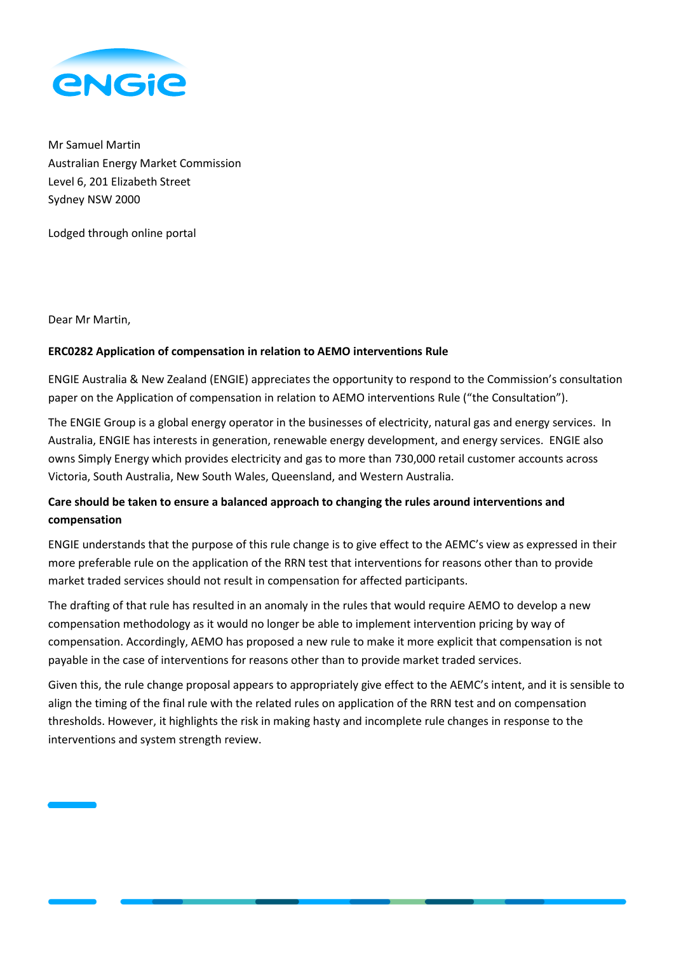

Mr Samuel Martin Australian Energy Market Commission Level 6, 201 Elizabeth Street Sydney NSW 2000

Lodged through online portal

Dear Mr Martin,

## **ERC0282 Application of compensation in relation to AEMO interventions Rule**

ENGIE Australia & New Zealand (ENGIE) appreciates the opportunity to respond to the Commission's consultation paper on the Application of compensation in relation to AEMO interventions Rule ("the Consultation").

The ENGIE Group is a global energy operator in the businesses of electricity, natural gas and energy services. In Australia, ENGIE has interests in generation, renewable energy development, and energy services. ENGIE also owns Simply Energy which provides electricity and gas to more than 730,000 retail customer accounts across Victoria, South Australia, New South Wales, Queensland, and Western Australia.

## **Care should be taken to ensure a balanced approach to changing the rules around interventions and compensation**

ENGIE understands that the purpose of this rule change is to give effect to the AEMC's view as expressed in their more preferable rule on the application of the RRN test that interventions for reasons other than to provide market traded services should not result in compensation for affected participants.

The drafting of that rule has resulted in an anomaly in the rules that would require AEMO to develop a new compensation methodology as it would no longer be able to implement intervention pricing by way of compensation. Accordingly, AEMO has proposed a new rule to make it more explicit that compensation is not payable in the case of interventions for reasons other than to provide market traded services.

Given this, the rule change proposal appears to appropriately give effect to the AEMC's intent, and it is sensible to align the timing of the final rule with the related rules on application of the RRN test and on compensation thresholds. However, it highlights the risk in making hasty and incomplete rule changes in response to the interventions and system strength review.